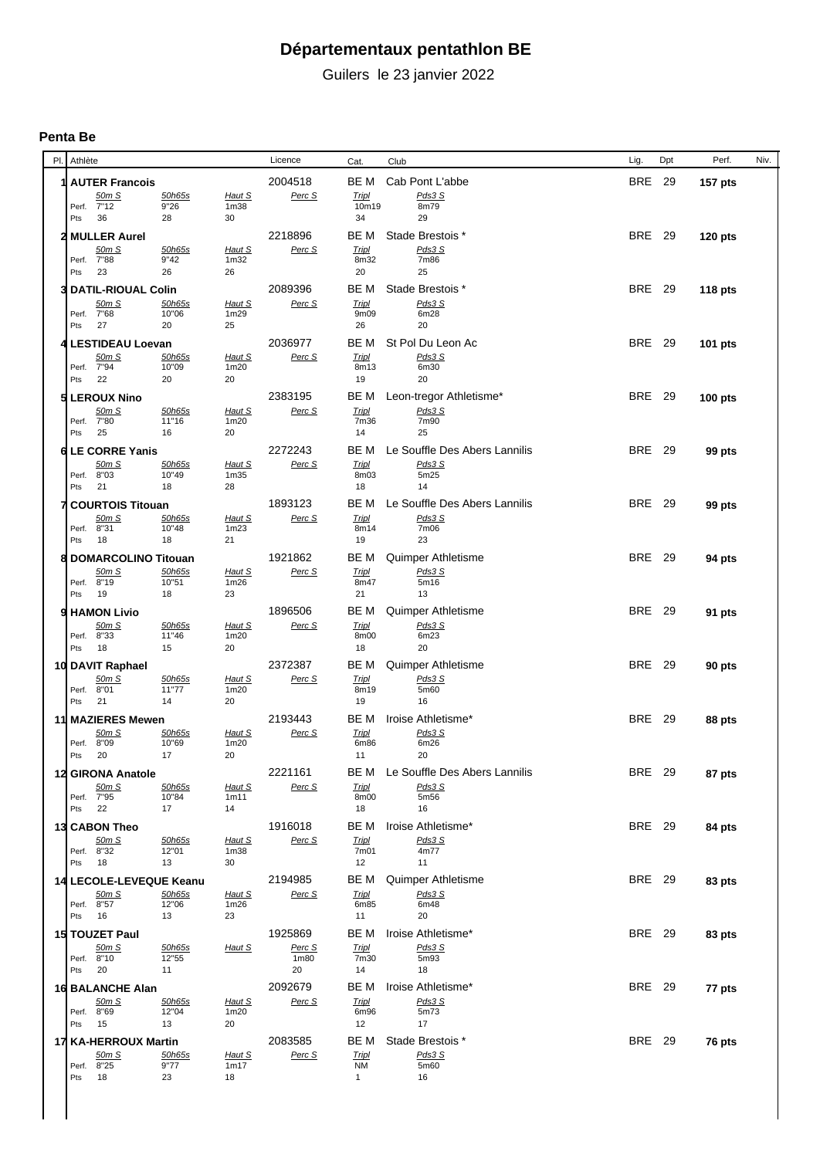## **Départementaux pentathlon BE**

Guilers le 23 janvier 2022

## **Penta Be**

| PI. | Athlète                             |                 |                            | Licence           | Cat.                      | Club                          | Lig.          | Dpt | Perf.          | Niv. |
|-----|-------------------------------------|-----------------|----------------------------|-------------------|---------------------------|-------------------------------|---------------|-----|----------------|------|
|     | <b>AUTER Francois</b>               |                 |                            | 2004518           | BE M                      | Cab Pont L'abbe               | <b>BRE</b> 29 |     | 157 pts        |      |
|     | 50m S                               | 50h65s          | Haut S                     | Perc S            | <b>Tripl</b>              | Pds3 S                        |               |     |                |      |
|     | Perf. 7"12                          | 9"26            | 1 <sub>m38</sub>           |                   | 10m19                     | 8m79                          |               |     |                |      |
|     | 36<br>Pts                           | 28              | 30                         |                   | 34                        | 29                            |               |     |                |      |
|     | <b>MULLER Aurel</b>                 |                 |                            | 2218896           | BE M                      | Stade Brestois *              | <b>BRE</b> 29 |     | 120 pts        |      |
|     | 50m S<br>Perf. 7"88                 | 50h65s<br>9"42  | Haut S<br>1 <sub>m32</sub> | Perc S            | <b>Tripl</b><br>8m32      | Pds3 S<br>7m86                |               |     |                |      |
|     | Pts<br>23                           | 26              | 26                         |                   | 20                        | 25                            |               |     |                |      |
|     | <b>DATIL-RIOUAL Colin</b>           |                 |                            | 2089396           | BE M                      | Stade Brestois *              | <b>BRE</b> 29 |     | 118 pts        |      |
|     | 50m S                               | 50h65s          | Haut S                     | Perc S            | <b>Tripl</b>              | Pds3 S                        |               |     |                |      |
|     | Perf. 7"68                          | 10"06           | 1 <sub>m29</sub>           |                   | 9m09                      | 6m28                          |               |     |                |      |
|     | 27<br>Pts                           | 20              | 25                         |                   | 26                        | 20                            |               |     |                |      |
|     | <b>LESTIDEAU Loevan</b>             |                 |                            | 2036977           | BE M                      | St Pol Du Leon Ac             | <b>BRE</b> 29 |     | 101 pts        |      |
|     | 50m S<br>Perf. 7"94                 | 50h65s<br>10"09 | Haut S<br>1m20             | Perc S            | <b>Tripl</b><br>8m13      | Pds3 S<br>6m30                |               |     |                |      |
|     | Pts<br>22                           | 20              | 20                         |                   | 19                        | 20                            |               |     |                |      |
|     | <b>LEROUX Nino</b>                  |                 |                            | 2383195           | BE M                      | Leon-tregor Athletisme*       | <b>BRE</b> 29 |     | <b>100 pts</b> |      |
|     | 50m S                               | 50h65s          | Haut S                     | Perc S            | <b>Tripl</b>              | Pds3 S                        |               |     |                |      |
|     | Perf. 7"80<br>25<br>Pts             | 11"16<br>16     | 1 <sub>m20</sub><br>20     |                   | 7m36<br>14                | 7m90<br>25                    |               |     |                |      |
|     |                                     |                 |                            |                   |                           |                               |               |     |                |      |
| 6   | <b>LE CORRE Yanis</b>               |                 |                            | 2272243           | BE M                      | Le Souffle Des Abers Lannilis | <b>BRE</b> 29 |     | 99 pts         |      |
|     | 50m S<br>Perf. 8"03                 | 50h65s<br>10"49 | Haut S<br>1 <sub>m35</sub> | Perc S            | <b>Tripl</b><br>8m03      | Pds3 S<br>5m25                |               |     |                |      |
|     | Pts<br>21                           | 18              | 28                         |                   | 18                        | 14                            |               |     |                |      |
|     | <b>COURTOIS Titouan</b>             |                 |                            | 1893123           | BE M                      | Le Souffle Des Abers Lannilis | <b>BRE</b> 29 |     | 99 pts         |      |
|     | 50m S                               | 50h65s          | Haut S                     | Perc S            | <b>Tripl</b>              | Pds3 S                        |               |     |                |      |
|     | 8"31<br>Perf.<br>18<br>Pts          | 10"48<br>18     | 1m23<br>21                 |                   | 8m14<br>19                | 7m06<br>23                    |               |     |                |      |
|     |                                     |                 |                            |                   |                           |                               |               |     |                |      |
|     | <b>DOMARCOLINO Titouan</b><br>50m S | 50h65s          | Haut S                     | 1921862<br>Perc S | BE M<br>Tripl             | Quimper Athletisme<br>Pds3 S  | <b>BRE</b> 29 |     | 94 pts         |      |
|     | Perf. 8"19                          | 10"51           | 1m26                       |                   | 8m47                      | 5m16                          |               |     |                |      |
|     | Pts<br>19                           | 18              | 23                         |                   | 21                        | 13                            |               |     |                |      |
|     | <b>HAMON Livio</b>                  |                 |                            | 1896506           | BE M                      | Quimper Athletisme            | <b>BRE</b> 29 |     | 91 pts         |      |
|     | 50m S                               | 50h65s          | Haut S                     | Perc S            | <b>Tripl</b>              | Pds3 S                        |               |     |                |      |
|     | Perf. 8"33<br>18<br>Pts             | 11"46<br>15     | 1m20<br>20                 |                   | 8m00<br>18                | 6m23<br>20                    |               |     |                |      |
|     |                                     |                 |                            |                   |                           |                               |               |     |                |      |
|     | 10 DAVIT Raphael<br>50m S           | 50h65s          | Haut S                     | 2372387<br>Perc S | BE M                      | Quimper Athletisme<br>Pds3 S  | <b>BRE</b> 29 |     | 90 pts         |      |
|     | Perf. 8"01                          | 11"77           | 1 <sub>m20</sub>           |                   | <b>Tripl</b><br>8m19      | 5m60                          |               |     |                |      |
|     | Pts<br>21                           | 14              | 20                         |                   | 19                        | 16                            |               |     |                |      |
|     | 11 MAZIERES Mewen                   |                 |                            | 2193443           | BE M                      | Iroise Athletisme*            | <b>BRE</b> 29 |     | 88 pts         |      |
|     | 50m S                               | 50h65s          | Haut S                     | Perc S            | <b>Tripl</b>              | Pds3 S                        |               |     |                |      |
|     | 8"09<br>Perf.<br>Pts<br>20          | 10"69<br>17     | 1m20<br>20                 |                   | 6m86<br>11                | 6m26<br>20                    |               |     |                |      |
|     |                                     |                 |                            | 2221161           |                           | Le Souffle Des Abers Lannilis |               |     |                |      |
| 12  | <b>GIRONA Anatole</b><br>50m S      | 50h65s          | Haut S                     | Perc S            | BE M<br><b>Tripl</b>      | Pds3 S                        | <b>BRE</b> 29 |     | 87 pts         |      |
|     | Perf. 7"95                          | 10"84           | 1m11                       |                   | 8m00                      | 5m56                          |               |     |                |      |
|     | Pts<br>22                           | 17              | 14                         |                   | 18                        | 16                            |               |     |                |      |
| 13  | <b>CABON Theo</b>                   |                 |                            | 1916018           | BE M                      | Iroise Athletisme*            | <b>BRE</b> 29 |     | 84 pts         |      |
|     | 50m S                               | 50h65s          | Haut S                     | Perc S            | <b>Tripl</b>              | Pds3 S                        |               |     |                |      |
|     | Perf. 8"32<br>18<br>Pts             | 12"01<br>13     | 1 <sub>m38</sub><br>30     |                   | 7m01<br>12                | 4m77<br>11                    |               |     |                |      |
|     | 14 LECOLE-LEVEQUE Keanu             |                 |                            | 2194985           | BE M                      | Quimper Athletisme            | <b>BRE</b> 29 |     | 83 pts         |      |
|     | 50m S                               | 50h65s          | Haut S                     | Perc S            | <b>Tripl</b>              | Pds3 S                        |               |     |                |      |
|     | Perf. 8"57                          | 12"06           | 1m26                       |                   | 6m85                      | 6m48                          |               |     |                |      |
|     | Pts 16                              | 13              | 23                         |                   | 11                        | 20                            |               |     |                |      |
|     | 15 TOUZET Paul                      |                 |                            | 1925869           | BE M                      | Iroise Athletisme*            | <b>BRE</b> 29 |     | 83 pts         |      |
|     | 50m S<br>Perf. 8"10                 | 50h65s<br>12"55 | Haut S                     | Perc S<br>1m80    | <b>Tripl</b><br>7m30      | Pds3 S<br>5m93                |               |     |                |      |
|     | 20<br>Pts                           | 11              |                            | 20                | 14                        | 18                            |               |     |                |      |
|     | 16 BALANCHE Alan                    |                 |                            | 2092679           | BE M                      | Iroise Athletisme*            | <b>BRE</b> 29 |     | 77 pts         |      |
|     | 50m S                               | 50h65s          | Haut S                     | Perc S            | <b>Tripl</b>              | Pds3 S                        |               |     |                |      |
|     | Perf. 8"69                          | 12"04           | 1 <sub>m20</sub>           |                   | 6m96                      | 5m73                          |               |     |                |      |
|     | Pts<br>15                           | 13              | 20                         |                   | 12                        | 17                            |               |     |                |      |
|     | 17 KA-HERROUX Martin                |                 |                            | 2083585           | BE M                      | Stade Brestois *              | <b>BRE</b> 29 |     | 76 pts         |      |
|     | 50m S<br>Perf. 8"25                 | 50h65s<br>9"77  | Haut S<br>1m17             | Perc S            | <b>Tripl</b><br><b>NM</b> | Pds3 S<br>5m60                |               |     |                |      |
|     | Pts 18                              | 23              | 18                         |                   | $\mathbf{1}$              | 16                            |               |     |                |      |
|     |                                     |                 |                            |                   |                           |                               |               |     |                |      |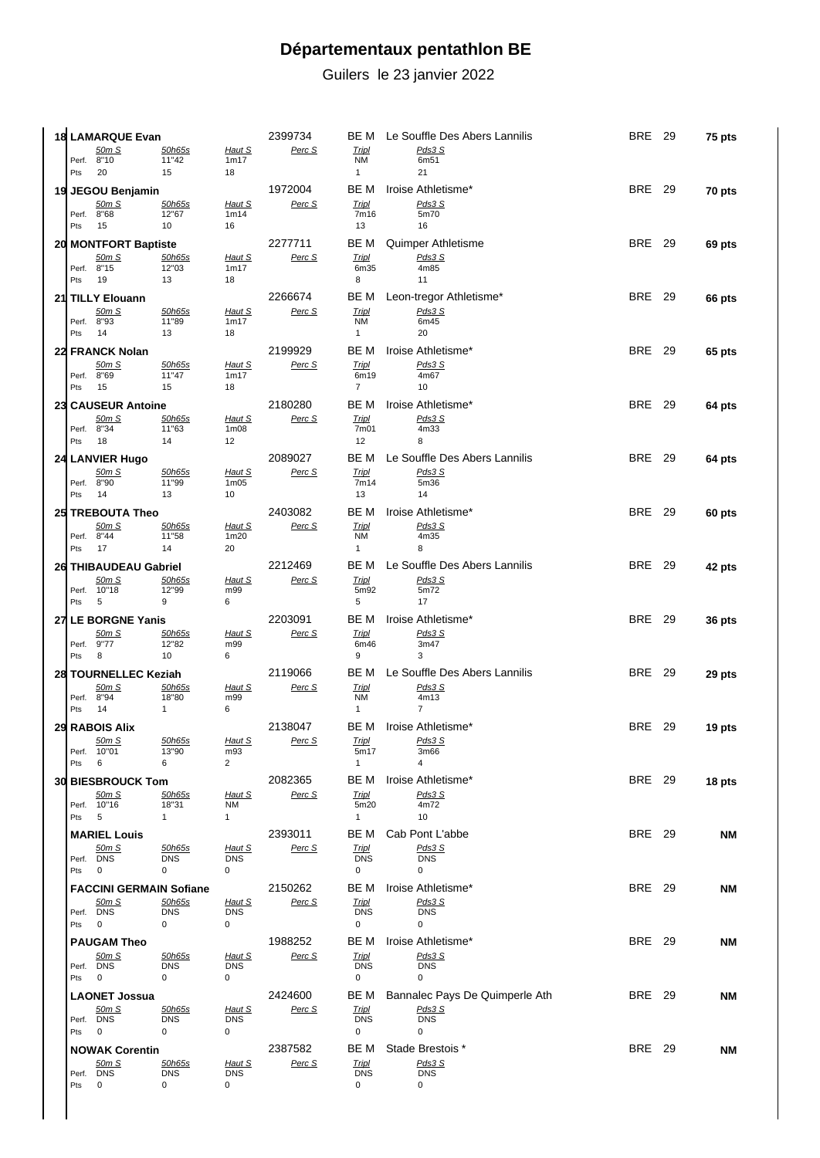## **Départementaux pentathlon BE**

Guilers le 23 janvier 2022

| Pts   | 18 LAMARQUE Evan<br>50m S<br>Perf. 8"10<br>20  | 50h65s<br>11"42<br>15               | <u>Haut S</u><br>1m17<br>18                | 2399734<br>Perc S | BE M<br>Tripl<br>NM<br>$\mathbf{1}$       | Le Souffle Des Abers Lannilis<br><u>Pds3 S</u><br>6m51<br>21 | <b>BRE</b> 29 | 75 pts    |
|-------|------------------------------------------------|-------------------------------------|--------------------------------------------|-------------------|-------------------------------------------|--------------------------------------------------------------|---------------|-----------|
|       |                                                |                                     |                                            |                   |                                           | Iroise Athletisme*                                           | <b>BRE</b> 29 |           |
| Pts   | 19 JEGOU Benjamin<br>50m S<br>Perf. 8"68<br>15 | 50h65s<br>12"67<br>10               | <b>Haut S</b><br>1m14<br>16                | 1972004<br>Perc S | BE M<br><b>Tripl</b><br>7m16<br>13        | Pds3 S<br>5m70<br>16                                         |               | 70 pts    |
|       |                                                |                                     |                                            |                   |                                           |                                                              |               |           |
|       | 20 MONTFORT Baptiste                           |                                     |                                            | 2277711           | BE M                                      | Quimper Athletisme                                           | <b>BRE</b> 29 | 69 pts    |
| Pts   | 50m S<br>Perf. 8"15<br>19                      | 50h65s<br>12"03<br>13               | Haut S<br>1m17<br>18                       | Perc S            | <b>Tripl</b><br>6m35<br>8                 | Pds3 S<br>4m85<br>11                                         |               |           |
|       | 21 TILLY Elouann                               |                                     |                                            | 2266674           | BE M                                      | Leon-tregor Athletisme*                                      | <b>BRE</b> 29 | 66 pts    |
|       | 50m S<br>Perf. 8"93<br>14                      | 50h65s<br>11"89<br>13               | Haut S<br>1m17                             | Perc S            | <b>Tripl</b><br>NM                        | Pds3 S<br>6m45                                               |               |           |
| Pts   |                                                |                                     | 18                                         |                   | $\mathbf{1}$                              | 20                                                           |               |           |
|       | 22 FRANCK Nolan                                |                                     |                                            | 2199929           | BE M                                      | Iroise Athletisme*                                           | <b>BRE</b> 29 | 65 pts    |
| Pts   | 50m S<br>Perf. 8"69<br>15                      | 50h65s<br>11"47<br>15               | <u>Haut S</u><br>1m17<br>18                | Perc S            | <b>Tripl</b><br>6m19<br>$\overline{7}$    | <u>Pds3 S</u><br>4m67<br>10                                  |               |           |
|       | 23 CAUSEUR Antoine                             |                                     |                                            | 2180280           | BE M                                      | Iroise Athletisme*                                           | <b>BRE</b> 29 | 64 pts    |
|       | 50m S                                          | 50h65s                              | Haut S                                     | Perc S            | <b>Tripl</b>                              | Pds3 S                                                       |               |           |
|       | Perf. 8"34                                     | 11"63                               | 1 <sub>m</sub> 0 <sub>8</sub>              |                   | 7m01                                      | 4m33                                                         |               |           |
| Pts   | 18                                             | 14                                  | 12                                         |                   | 12                                        | 8                                                            |               |           |
|       | 24 LANVIER Hugo                                |                                     |                                            | 2089027           | BE M                                      | Le Souffle Des Abers Lannilis                                | <b>BRE</b> 29 | 64 pts    |
|       | 50m S                                          | 50h65s                              | <u>Haut S</u>                              | Perc S            | <b>Tripl</b>                              | <u>Pds3 S</u>                                                |               |           |
| Pts   | Perf. 8"90<br>14                               | 11"99<br>13                         | 1 <sub>m05</sub><br>10 <sup>°</sup>        |                   | 7m14<br>13                                | 5m36<br>14                                                   |               |           |
|       |                                                |                                     |                                            |                   |                                           |                                                              |               |           |
|       | 25 TREBOUTA Theo                               |                                     |                                            | 2403082           | BE M                                      | Iroise Athletisme*                                           | <b>BRE</b> 29 | 60 pts    |
| Pts   | 50m S<br>Perf. 8"44<br>17                      | 50h65s<br>11"58<br>14               | Haut S<br>1m20<br>20                       | Perc S            | <b>Tripl</b><br>NM<br>$\mathbf{1}$        | Pds3 S<br>4m35<br>8                                          |               |           |
|       | 26 THIBAUDEAU Gabriel                          |                                     |                                            | 2212469           | BE M                                      | Le Souffle Des Abers Lannilis                                | <b>BRE</b> 29 | 42 pts    |
|       | 50m S                                          | 50h65s                              | <u>Haut S</u>                              | Perc S            | <b>Tripl</b>                              | <u>Pds3 S</u>                                                |               |           |
|       | Perf. 10"18                                    | 12"99                               | m99                                        |                   | 5m92                                      | 5m72                                                         |               |           |
| Pts   | - 5                                            | 9                                   | 6                                          |                   | 5                                         | 17                                                           |               |           |
|       | 27 LE BORGNE Yanis                             |                                     |                                            | 2203091           | BE M                                      | Iroise Athletisme*                                           | <b>BRE</b> 29 | 36 pts    |
|       | 50m S<br>Perf. 9"77                            | 50h65s<br>12"82                     | Haut S<br>m99                              | Perc S            | <b>Tripl</b><br>6m46                      | Pds3 S<br>3m47                                               |               |           |
| Pts   | 8                                              | 10                                  | 6                                          |                   | 9                                         | 3                                                            |               |           |
|       | 28 TOURNELLEC Keziah                           |                                     |                                            | 2119066           | BE M                                      | Le Souffle Des Abers Lannilis                                | <b>BRE</b> 29 | 29 pts    |
|       | <u>50m S</u>                                   | 50h65s                              | <u>Haut S</u>                              | Perc S            | <b>Tripl</b>                              | Pds3 S                                                       |               |           |
|       |                                                |                                     | m99                                        |                   | <b>NM</b>                                 | 4m13                                                         |               |           |
|       | Perf. 8"94                                     | 18"80                               |                                            |                   |                                           |                                                              |               |           |
| Pts   | 14                                             | 1                                   | 6                                          |                   | $\mathbf{1}$                              | $\overline{7}$                                               |               |           |
|       | 29 RABOIS Alix                                 |                                     |                                            | 2138047           | BE M                                      | Iroise Athletisme*                                           | <b>BRE</b> 29 | 19 pts    |
|       | 50m S                                          | <u>50h65s</u>                       | <u>Haut S</u>                              | Perc S            | <b>Tripl</b>                              | <u>Pds3 S</u>                                                |               |           |
| Pts 6 | Perf. 10"01                                    | 13"90<br>6                          | m93<br>$\overline{2}$                      |                   | 5m17<br>$\mathbf{1}$                      | 3m66<br>4                                                    |               |           |
|       |                                                |                                     |                                            |                   |                                           |                                                              |               |           |
|       | 30 BIESBROUCK Tom<br>50m S                     | 50h65s                              | <u>Haut S</u>                              | 2082365<br>Perc S | <b>Tripl</b>                              | BE M Iroise Athletisme*<br>Pds3S                             | <b>BRE</b> 29 | 18 pts    |
|       | Perf. 10"16                                    | 18"31                               | NM                                         |                   | 5m20                                      | 4m72                                                         |               |           |
| Pts 5 |                                                | 1                                   | $\mathbf{1}$                               |                   | $\mathbf{1}$                              | 10                                                           |               |           |
|       | <b>MARIEL Louis</b>                            |                                     |                                            | 2393011           |                                           | BE M Cab Pont L'abbe                                         | <b>BRE</b> 29 | NΜ        |
| Pts 0 | 50m S<br>Perf. DNS                             | 50h65s<br><b>DNS</b><br>$\mathbf 0$ | <u>Haut S</u><br><b>DNS</b><br>$\mathbf 0$ | Perc S            | <b>Tripl</b><br><b>DNS</b><br>$\mathbf 0$ | Pds3 S<br><b>DNS</b><br>$\mathbf{0}$                         |               |           |
|       |                                                |                                     |                                            |                   |                                           |                                                              |               |           |
|       | <b>FACCINI GERMAIN Sofiane</b>                 |                                     |                                            | 2150262           |                                           | BE M Iroise Athletisme*                                      | <b>BRE</b> 29 | <b>NM</b> |
|       | 50m S<br>Perf. DNS                             | 50h65s<br><b>DNS</b>                | <u>Haut S</u><br><b>DNS</b>                | Perc S            | <b>Tripl</b><br><b>DNS</b>                | Pds3 S<br><b>DNS</b>                                         |               |           |
| Pts 0 |                                                | $\mathbf 0$                         | 0                                          |                   | $\mathbf{0}$                              | 0                                                            |               |           |
|       | <b>PAUGAM Theo</b>                             |                                     |                                            | 1988252           |                                           | BE M Iroise Athletisme*                                      | <b>BRE</b> 29 | ΝM        |
|       | 50m S                                          | 50h65s                              | <u>Haut S</u>                              | Perc S            | <b>Tripl</b>                              | Pds3 S                                                       |               |           |
|       | Perf. DNS                                      | <b>DNS</b>                          | DNS                                        |                   | <b>DNS</b>                                | <b>DNS</b>                                                   |               |           |
| Pts 0 |                                                | 0                                   | $\mathbf 0$                                |                   | $\mathbf 0$                               | $\mathbf 0$                                                  |               |           |
|       | <b>LAONET Jossua</b>                           |                                     |                                            | 2424600           | BE M                                      | Bannalec Pays De Quimperle Ath                               | <b>BRE</b> 29 | ΝM        |
|       | 50m S<br>Perf. DNS                             | 50h65s<br><b>DNS</b>                | <u>Haut S</u><br><b>DNS</b>                | Perc S            | <b>Tripl</b><br><b>DNS</b>                | Pds3 S<br><b>DNS</b>                                         |               |           |
| Pts 0 |                                                | $\mathbf 0$                         | $\mathbf 0$                                |                   | $\mathbf 0$                               | 0                                                            |               |           |
|       | <b>NOWAK Corentin</b>                          |                                     |                                            | 2387582           |                                           | BE M Stade Brestois *                                        | <b>BRE</b> 29 | NΜ        |
|       | 50mS                                           | 50h65s                              | <u>Haut S</u>                              | Perc S            | <b>Tripl</b>                              | Pds3 S                                                       |               |           |
| Pts 0 | Perf. DNS                                      | DNS<br>$\mathbf 0$                  | DNS<br>0                                   |                   | <b>DNS</b><br>$\mathbf 0$                 | <b>DNS</b><br>$\mathbf 0$                                    |               |           |